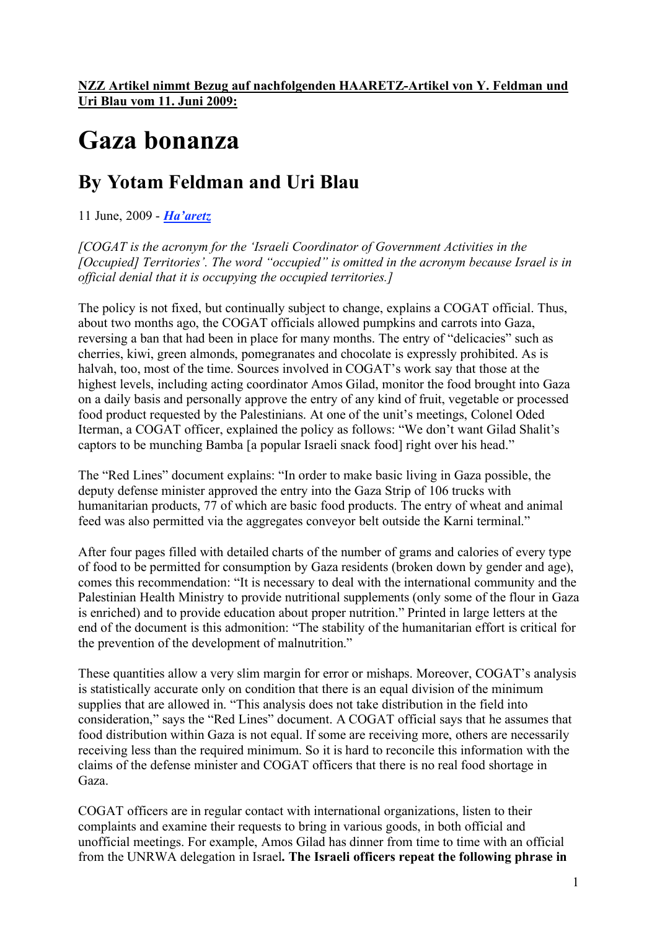## **Gaza bonanza**

## **By Yotam Feldman and Uri Blau**

11 June, 2009 - *Ha'aretz*

*[COGAT is the acronym for the 'Israeli Coordinator of Government Activities in the [Occupied] Territories'. The word "occupied" is omitted in the acronym because Israel is in official denial that it is occupying the occupied territories.]*

The policy is not fixed, but continually subject to change, explains a COGAT official. Thus, about two months ago, the COGAT officials allowed pumpkins and carrots into Gaza, reversing a ban that had been in place for many months. The entry of "delicacies" such as cherries, kiwi, green almonds, pomegranates and chocolate is expressly prohibited. As is halvah, too, most of the time. Sources involved in COGAT's work say that those at the highest levels, including acting coordinator Amos Gilad, monitor the food brought into Gaza on a daily basis and personally approve the entry of any kind of fruit, vegetable or processed food product requested by the Palestinians. At one of the unit's meetings, Colonel Oded Iterman, a COGAT officer, explained the policy as follows: "We don't want Gilad Shalit's captors to be munching Bamba [a popular Israeli snack food] right over his head."

The "Red Lines" document explains: "In order to make basic living in Gaza possible, the deputy defense minister approved the entry into the Gaza Strip of 106 trucks with humanitarian products, 77 of which are basic food products. The entry of wheat and animal feed was also permitted via the aggregates conveyor belt outside the Karni terminal."

After four pages filled with detailed charts of the number of grams and calories of every type of food to be permitted for consumption by Gaza residents (broken down by gender and age), comes this recommendation: "It is necessary to deal with the international community and the Palestinian Health Ministry to provide nutritional supplements (only some of the flour in Gaza is enriched) and to provide education about proper nutrition." Printed in large letters at the end of the document is this admonition: "The stability of the humanitarian effort is critical for the prevention of the development of malnutrition."

These quantities allow a very slim margin for error or mishaps. Moreover, COGAT's analysis is statistically accurate only on condition that there is an equal division of the minimum supplies that are allowed in. "This analysis does not take distribution in the field into consideration," says the "Red Lines" document. A COGAT official says that he assumes that food distribution within Gaza is not equal. If some are receiving more, others are necessarily receiving less than the required minimum. So it is hard to reconcile this information with the claims of the defense minister and COGAT officers that there is no real food shortage in Gaza.

COGAT officers are in regular contact with international organizations, listen to their complaints and examine their requests to bring in various goods, in both official and unofficial meetings. For example, Amos Gilad has dinner from time to time with an official from the UNRWA delegation in Israel**. The Israeli officers repeat the following phrase in**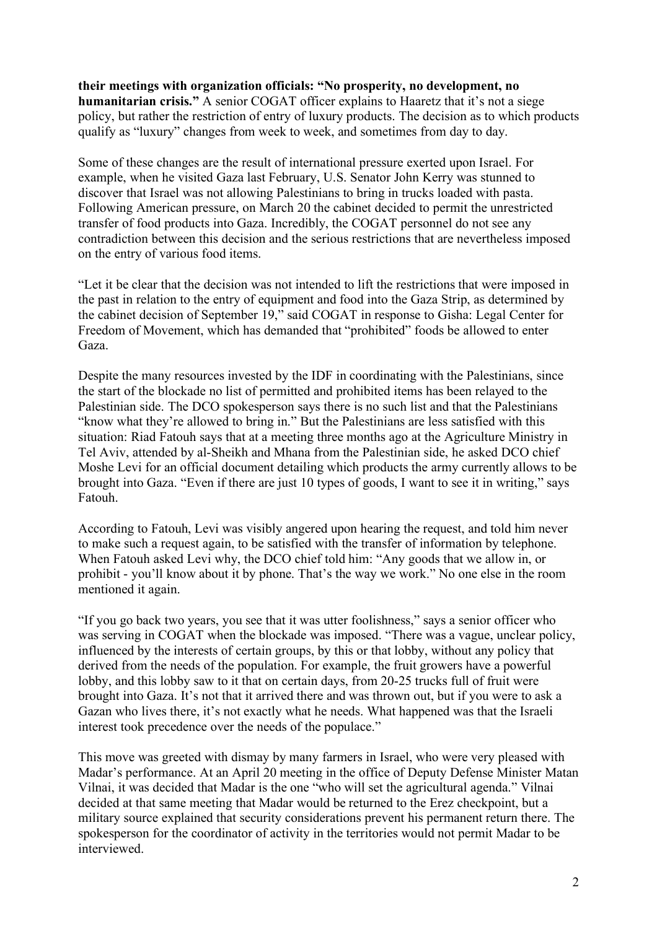**their meetings with organization officials: "No prosperity, no development, no humanitarian crisis."** A senior COGAT officer explains to Haaretz that it's not a siege policy, but rather the restriction of entry of luxury products. The decision as to which products qualify as "luxury" changes from week to week, and sometimes from day to day.

Some of these changes are the result of international pressure exerted upon Israel. For example, when he visited Gaza last February, U.S. Senator John Kerry was stunned to discover that Israel was not allowing Palestinians to bring in trucks loaded with pasta. Following American pressure, on March 20 the cabinet decided to permit the unrestricted transfer of food products into Gaza. Incredibly, the COGAT personnel do not see any contradiction between this decision and the serious restrictions that are nevertheless imposed on the entry of various food items.

"Let it be clear that the decision was not intended to lift the restrictions that were imposed in the past in relation to the entry of equipment and food into the Gaza Strip, as determined by the cabinet decision of September 19," said COGAT in response to Gisha: Legal Center for Freedom of Movement, which has demanded that "prohibited" foods be allowed to enter Gaza.

Despite the many resources invested by the IDF in coordinating with the Palestinians, since the start of the blockade no list of permitted and prohibited items has been relayed to the Palestinian side. The DCO spokesperson says there is no such list and that the Palestinians "know what they're allowed to bring in." But the Palestinians are less satisfied with this situation: Riad Fatouh says that at a meeting three months ago at the Agriculture Ministry in Tel Aviv, attended by al-Sheikh and Mhana from the Palestinian side, he asked DCO chief Moshe Levi for an official document detailing which products the army currently allows to be brought into Gaza. "Even if there are just 10 types of goods, I want to see it in writing," says Fatouh.

According to Fatouh, Levi was visibly angered upon hearing the request, and told him never to make such a request again, to be satisfied with the transfer of information by telephone. When Fatouh asked Levi why, the DCO chief told him: "Any goods that we allow in, or prohibit - you'll know about it by phone. That's the way we work." No one else in the room mentioned it again.

"If you go back two years, you see that it was utter foolishness," says a senior officer who was serving in COGAT when the blockade was imposed. "There was a vague, unclear policy, influenced by the interests of certain groups, by this or that lobby, without any policy that derived from the needs of the population. For example, the fruit growers have a powerful lobby, and this lobby saw to it that on certain days, from 20-25 trucks full of fruit were brought into Gaza. It's not that it arrived there and was thrown out, but if you were to ask a Gazan who lives there, it's not exactly what he needs. What happened was that the Israeli interest took precedence over the needs of the populace."

This move was greeted with dismay by many farmers in Israel, who were very pleased with Madar's performance. At an April 20 meeting in the office of Deputy Defense Minister Matan Vilnai, it was decided that Madar is the one "who will set the agricultural agenda." Vilnai decided at that same meeting that Madar would be returned to the Erez checkpoint, but a military source explained that security considerations prevent his permanent return there. The spokesperson for the coordinator of activity in the territories would not permit Madar to be interviewed.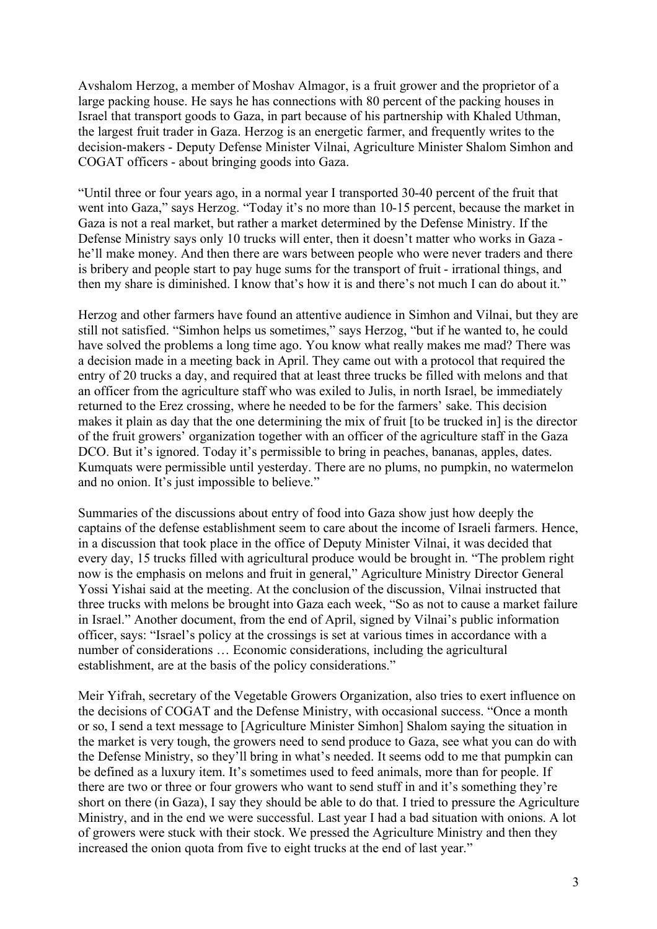Avshalom Herzog, a member of Moshav Almagor, is a fruit grower and the proprietor of a large packing house. He says he has connections with 80 percent of the packing houses in Israel that transport goods to Gaza, in part because of his partnership with Khaled Uthman, the largest fruit trader in Gaza. Herzog is an energetic farmer, and frequently writes to the decision-makers - Deputy Defense Minister Vilnai, Agriculture Minister Shalom Simhon and COGAT officers - about bringing goods into Gaza.

"Until three or four years ago, in a normal year I transported 30-40 percent of the fruit that went into Gaza," says Herzog. "Today it's no more than 10-15 percent, because the market in Gaza is not a real market, but rather a market determined by the Defense Ministry. If the Defense Ministry says only 10 trucks will enter, then it doesn't matter who works in Gaza he'll make money. And then there are wars between people who were never traders and there is bribery and people start to pay huge sums for the transport of fruit - irrational things, and then my share is diminished. I know that's how it is and there's not much I can do about it."

Herzog and other farmers have found an attentive audience in Simhon and Vilnai, but they are still not satisfied. "Simhon helps us sometimes," says Herzog, "but if he wanted to, he could have solved the problems a long time ago. You know what really makes me mad? There was a decision made in a meeting back in April. They came out with a protocol that required the entry of 20 trucks a day, and required that at least three trucks be filled with melons and that an officer from the agriculture staff who was exiled to Julis, in north Israel, be immediately returned to the Erez crossing, where he needed to be for the farmers' sake. This decision makes it plain as day that the one determining the mix of fruit [to be trucked in] is the director of the fruit growers' organization together with an officer of the agriculture staff in the Gaza DCO. But it's ignored. Today it's permissible to bring in peaches, bananas, apples, dates. Kumquats were permissible until yesterday. There are no plums, no pumpkin, no watermelon and no onion. It's just impossible to believe."

Summaries of the discussions about entry of food into Gaza show just how deeply the captains of the defense establishment seem to care about the income of Israeli farmers. Hence, in a discussion that took place in the office of Deputy Minister Vilnai, it was decided that every day, 15 trucks filled with agricultural produce would be brought in. "The problem right now is the emphasis on melons and fruit in general," Agriculture Ministry Director General Yossi Yishai said at the meeting. At the conclusion of the discussion, Vilnai instructed that three trucks with melons be brought into Gaza each week, "So as not to cause a market failure in Israel." Another document, from the end of April, signed by Vilnai's public information officer, says: "Israel's policy at the crossings is set at various times in accordance with a number of considerations … Economic considerations, including the agricultural establishment, are at the basis of the policy considerations."

Meir Yifrah, secretary of the Vegetable Growers Organization, also tries to exert influence on the decisions of COGAT and the Defense Ministry, with occasional success. "Once a month or so, I send a text message to [Agriculture Minister Simhon] Shalom saying the situation in the market is very tough, the growers need to send produce to Gaza, see what you can do with the Defense Ministry, so they'll bring in what's needed. It seems odd to me that pumpkin can be defined as a luxury item. It's sometimes used to feed animals, more than for people. If there are two or three or four growers who want to send stuff in and it's something they're short on there (in Gaza), I say they should be able to do that. I tried to pressure the Agriculture Ministry, and in the end we were successful. Last year I had a bad situation with onions. A lot of growers were stuck with their stock. We pressed the Agriculture Ministry and then they increased the onion quota from five to eight trucks at the end of last year."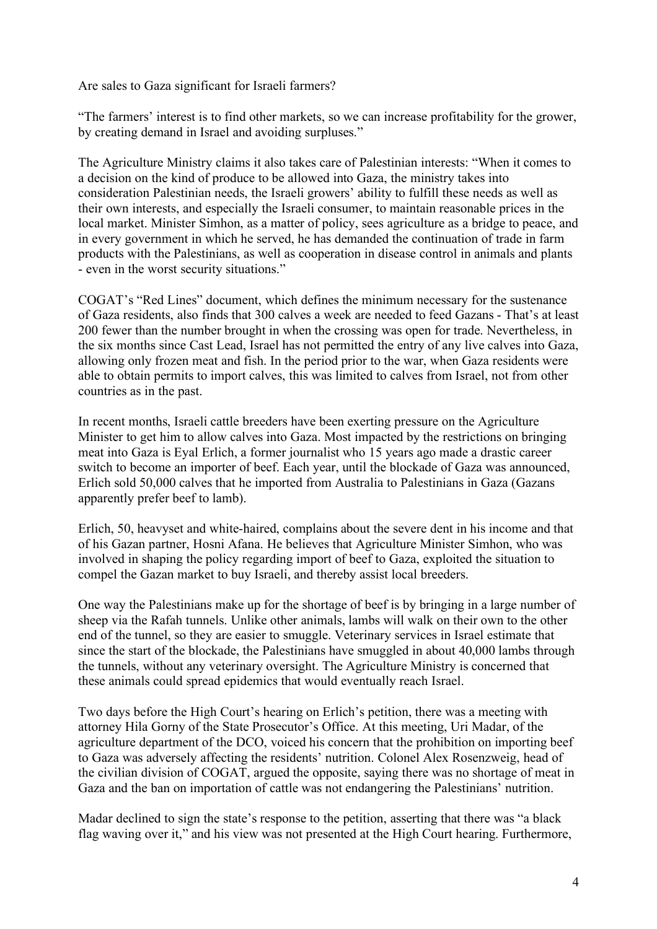Are sales to Gaza significant for Israeli farmers?

"The farmers' interest is to find other markets, so we can increase profitability for the grower, by creating demand in Israel and avoiding surpluses."

The Agriculture Ministry claims it also takes care of Palestinian interests: "When it comes to a decision on the kind of produce to be allowed into Gaza, the ministry takes into consideration Palestinian needs, the Israeli growers' ability to fulfill these needs as well as their own interests, and especially the Israeli consumer, to maintain reasonable prices in the local market. Minister Simhon, as a matter of policy, sees agriculture as a bridge to peace, and in every government in which he served, he has demanded the continuation of trade in farm products with the Palestinians, as well as cooperation in disease control in animals and plants - even in the worst security situations."

COGAT's "Red Lines" document, which defines the minimum necessary for the sustenance of Gaza residents, also finds that 300 calves a week are needed to feed Gazans - That's at least 200 fewer than the number brought in when the crossing was open for trade. Nevertheless, in the six months since Cast Lead, Israel has not permitted the entry of any live calves into Gaza, allowing only frozen meat and fish. In the period prior to the war, when Gaza residents were able to obtain permits to import calves, this was limited to calves from Israel, not from other countries as in the past.

In recent months, Israeli cattle breeders have been exerting pressure on the Agriculture Minister to get him to allow calves into Gaza. Most impacted by the restrictions on bringing meat into Gaza is Eyal Erlich, a former journalist who 15 years ago made a drastic career switch to become an importer of beef. Each year, until the blockade of Gaza was announced, Erlich sold 50,000 calves that he imported from Australia to Palestinians in Gaza (Gazans apparently prefer beef to lamb).

Erlich, 50, heavyset and white-haired, complains about the severe dent in his income and that of his Gazan partner, Hosni Afana. He believes that Agriculture Minister Simhon, who was involved in shaping the policy regarding import of beef to Gaza, exploited the situation to compel the Gazan market to buy Israeli, and thereby assist local breeders.

One way the Palestinians make up for the shortage of beef is by bringing in a large number of sheep via the Rafah tunnels. Unlike other animals, lambs will walk on their own to the other end of the tunnel, so they are easier to smuggle. Veterinary services in Israel estimate that since the start of the blockade, the Palestinians have smuggled in about 40,000 lambs through the tunnels, without any veterinary oversight. The Agriculture Ministry is concerned that these animals could spread epidemics that would eventually reach Israel.

Two days before the High Court's hearing on Erlich's petition, there was a meeting with attorney Hila Gorny of the State Prosecutor's Office. At this meeting, Uri Madar, of the agriculture department of the DCO, voiced his concern that the prohibition on importing beef to Gaza was adversely affecting the residents' nutrition. Colonel Alex Rosenzweig, head of the civilian division of COGAT, argued the opposite, saying there was no shortage of meat in Gaza and the ban on importation of cattle was not endangering the Palestinians' nutrition.

Madar declined to sign the state's response to the petition, asserting that there was "a black flag waving over it," and his view was not presented at the High Court hearing. Furthermore,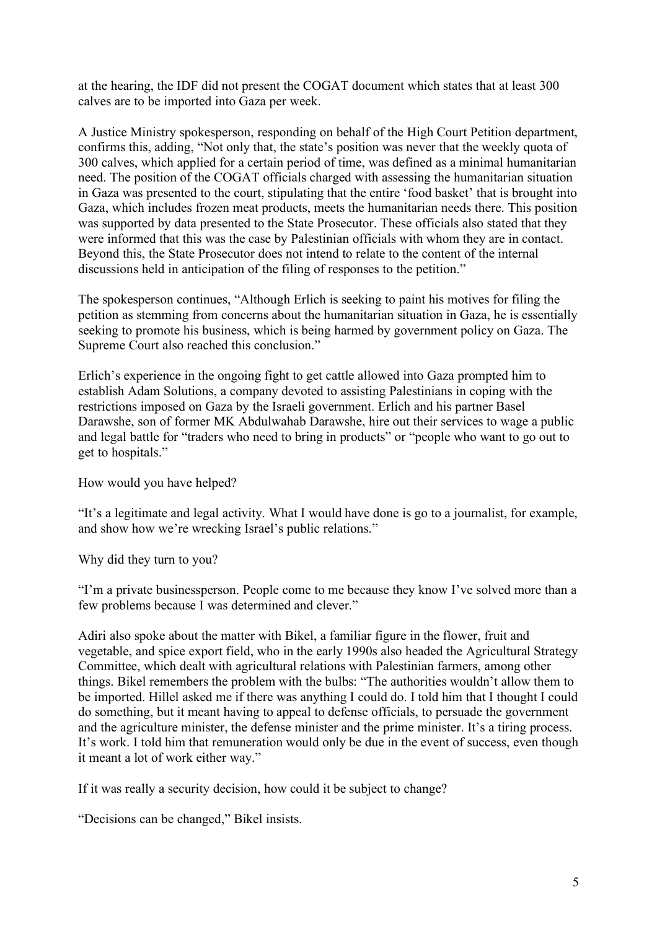at the hearing, the IDF did not present the COGAT document which states that at least 300 calves are to be imported into Gaza per week.

A Justice Ministry spokesperson, responding on behalf of the High Court Petition department, confirms this, adding, "Not only that, the state's position was never that the weekly quota of 300 calves, which applied for a certain period of time, was defined as a minimal humanitarian need. The position of the COGAT officials charged with assessing the humanitarian situation in Gaza was presented to the court, stipulating that the entire 'food basket' that is brought into Gaza, which includes frozen meat products, meets the humanitarian needs there. This position was supported by data presented to the State Prosecutor. These officials also stated that they were informed that this was the case by Palestinian officials with whom they are in contact. Beyond this, the State Prosecutor does not intend to relate to the content of the internal discussions held in anticipation of the filing of responses to the petition."

The spokesperson continues, "Although Erlich is seeking to paint his motives for filing the petition as stemming from concerns about the humanitarian situation in Gaza, he is essentially seeking to promote his business, which is being harmed by government policy on Gaza. The Supreme Court also reached this conclusion."

Erlich's experience in the ongoing fight to get cattle allowed into Gaza prompted him to establish Adam Solutions, a company devoted to assisting Palestinians in coping with the restrictions imposed on Gaza by the Israeli government. Erlich and his partner Basel Darawshe, son of former MK Abdulwahab Darawshe, hire out their services to wage a public and legal battle for "traders who need to bring in products" or "people who want to go out to get to hospitals."

How would you have helped?

"It's a legitimate and legal activity. What I would have done is go to a journalist, for example, and show how we're wrecking Israel's public relations."

Why did they turn to you?

"I'm a private businessperson. People come to me because they know I've solved more than a few problems because I was determined and clever."

Adiri also spoke about the matter with Bikel, a familiar figure in the flower, fruit and vegetable, and spice export field, who in the early 1990s also headed the Agricultural Strategy Committee, which dealt with agricultural relations with Palestinian farmers, among other things. Bikel remembers the problem with the bulbs: "The authorities wouldn't allow them to be imported. Hillel asked me if there was anything I could do. I told him that I thought I could do something, but it meant having to appeal to defense officials, to persuade the government and the agriculture minister, the defense minister and the prime minister. It's a tiring process. It's work. I told him that remuneration would only be due in the event of success, even though it meant a lot of work either way."

If it was really a security decision, how could it be subject to change?

"Decisions can be changed," Bikel insists.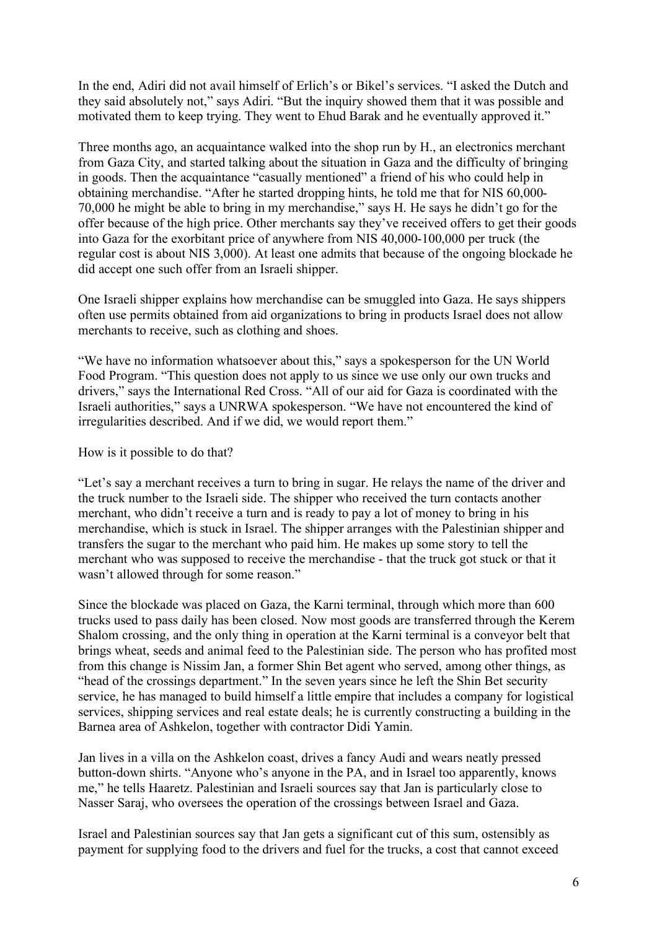In the end, Adiri did not avail himself of Erlich's or Bikel's services. "I asked the Dutch and they said absolutely not," says Adiri. "But the inquiry showed them that it was possible and motivated them to keep trying. They went to Ehud Barak and he eventually approved it."

Three months ago, an acquaintance walked into the shop run by H., an electronics merchant from Gaza City, and started talking about the situation in Gaza and the difficulty of bringing in goods. Then the acquaintance "casually mentioned" a friend of his who could help in obtaining merchandise. "After he started dropping hints, he told me that for NIS 60,000- 70,000 he might be able to bring in my merchandise," says H. He says he didn't go for the offer because of the high price. Other merchants say they've received offers to get their goods into Gaza for the exorbitant price of anywhere from NIS 40,000-100,000 per truck (the regular cost is about NIS 3,000). At least one admits that because of the ongoing blockade he did accept one such offer from an Israeli shipper.

One Israeli shipper explains how merchandise can be smuggled into Gaza. He says shippers often use permits obtained from aid organizations to bring in products Israel does not allow merchants to receive, such as clothing and shoes.

"We have no information whatsoever about this," says a spokesperson for the UN World Food Program. "This question does not apply to us since we use only our own trucks and drivers," says the International Red Cross. "All of our aid for Gaza is coordinated with the Israeli authorities," says a UNRWA spokesperson. "We have not encountered the kind of irregularities described. And if we did, we would report them."

How is it possible to do that?

"Let's say a merchant receives a turn to bring in sugar. He relays the name of the driver and the truck number to the Israeli side. The shipper who received the turn contacts another merchant, who didn't receive a turn and is ready to pay a lot of money to bring in his merchandise, which is stuck in Israel. The shipper arranges with the Palestinian shipper and transfers the sugar to the merchant who paid him. He makes up some story to tell the merchant who was supposed to receive the merchandise - that the truck got stuck or that it wasn't allowed through for some reason."

Since the blockade was placed on Gaza, the Karni terminal, through which more than 600 trucks used to pass daily has been closed. Now most goods are transferred through the Kerem Shalom crossing, and the only thing in operation at the Karni terminal is a conveyor belt that brings wheat, seeds and animal feed to the Palestinian side. The person who has profited most from this change is Nissim Jan, a former Shin Bet agent who served, among other things, as "head of the crossings department." In the seven years since he left the Shin Bet security service, he has managed to build himself a little empire that includes a company for logistical services, shipping services and real estate deals; he is currently constructing a building in the Barnea area of Ashkelon, together with contractor Didi Yamin.

Jan lives in a villa on the Ashkelon coast, drives a fancy Audi and wears neatly pressed button-down shirts. "Anyone who's anyone in the PA, and in Israel too apparently, knows me," he tells Haaretz. Palestinian and Israeli sources say that Jan is particularly close to Nasser Saraj, who oversees the operation of the crossings between Israel and Gaza.

Israel and Palestinian sources say that Jan gets a significant cut of this sum, ostensibly as payment for supplying food to the drivers and fuel for the trucks, a cost that cannot exceed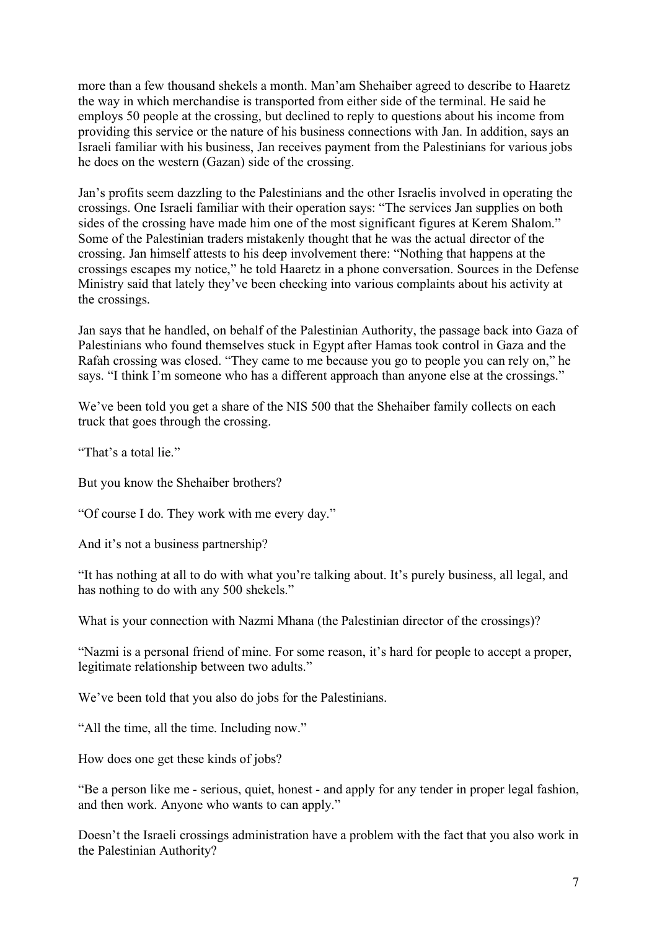more than a few thousand shekels a month. Man'am Shehaiber agreed to describe to Haaretz the way in which merchandise is transported from either side of the terminal. He said he employs 50 people at the crossing, but declined to reply to questions about his income from providing this service or the nature of his business connections with Jan. In addition, says an Israeli familiar with his business, Jan receives payment from the Palestinians for various jobs he does on the western (Gazan) side of the crossing.

Jan's profits seem dazzling to the Palestinians and the other Israelis involved in operating the crossings. One Israeli familiar with their operation says: "The services Jan supplies on both sides of the crossing have made him one of the most significant figures at Kerem Shalom." Some of the Palestinian traders mistakenly thought that he was the actual director of the crossing. Jan himself attests to his deep involvement there: "Nothing that happens at the crossings escapes my notice," he told Haaretz in a phone conversation. Sources in the Defense Ministry said that lately they've been checking into various complaints about his activity at the crossings.

Jan says that he handled, on behalf of the Palestinian Authority, the passage back into Gaza of Palestinians who found themselves stuck in Egypt after Hamas took control in Gaza and the Rafah crossing was closed. "They came to me because you go to people you can rely on," he says. "I think I'm someone who has a different approach than anyone else at the crossings."

We've been told you get a share of the NIS 500 that the Shehaiber family collects on each truck that goes through the crossing.

"That's a total lie."

But you know the Shehaiber brothers?

"Of course I do. They work with me every day."

And it's not a business partnership?

"It has nothing at all to do with what you're talking about. It's purely business, all legal, and has nothing to do with any 500 shekels."

What is your connection with Nazmi Mhana (the Palestinian director of the crossings)?

"Nazmi is a personal friend of mine. For some reason, it's hard for people to accept a proper, legitimate relationship between two adults."

We've been told that you also do jobs for the Palestinians.

"All the time, all the time. Including now."

How does one get these kinds of jobs?

"Be a person like me - serious, quiet, honest - and apply for any tender in proper legal fashion, and then work. Anyone who wants to can apply."

Doesn't the Israeli crossings administration have a problem with the fact that you also work in the Palestinian Authority?